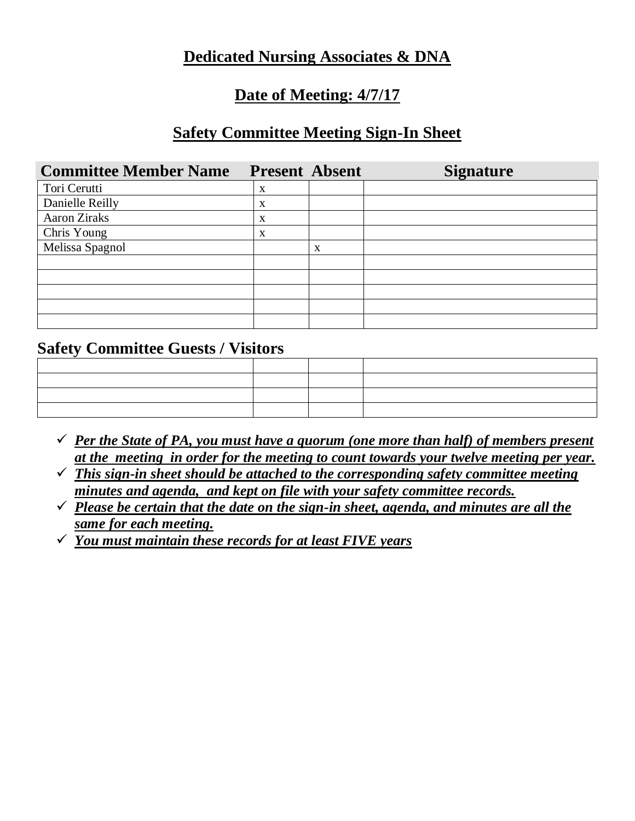## **Dedicated Nursing Associates & DNA**

# **Date of Meeting: 4/7/17**

## **Safety Committee Meeting Sign-In Sheet**

| <b>Committee Member Name</b> | <b>Present Absent</b> |   | <b>Signature</b> |
|------------------------------|-----------------------|---|------------------|
| Tori Cerutti                 | X                     |   |                  |
| Danielle Reilly              | X                     |   |                  |
| <b>Aaron Ziraks</b>          | X                     |   |                  |
| Chris Young                  | X                     |   |                  |
| Melissa Spagnol              |                       | X |                  |
|                              |                       |   |                  |
|                              |                       |   |                  |
|                              |                       |   |                  |
|                              |                       |   |                  |
|                              |                       |   |                  |

### **Safety Committee Guests / Visitors**

- $\checkmark$  *Per the State of PA, you must have a quorum (one more than half) of members present at the meeting in order for the meeting to count towards your twelve meeting per year.*
- ✓ *This sign-in sheet should be attached to the corresponding safety committee meeting minutes and agenda, and kept on file with your safety committee records.*
- ✓ *Please be certain that the date on the sign-in sheet, agenda, and minutes are all the same for each meeting.*
- ✓ *You must maintain these records for at least FIVE years*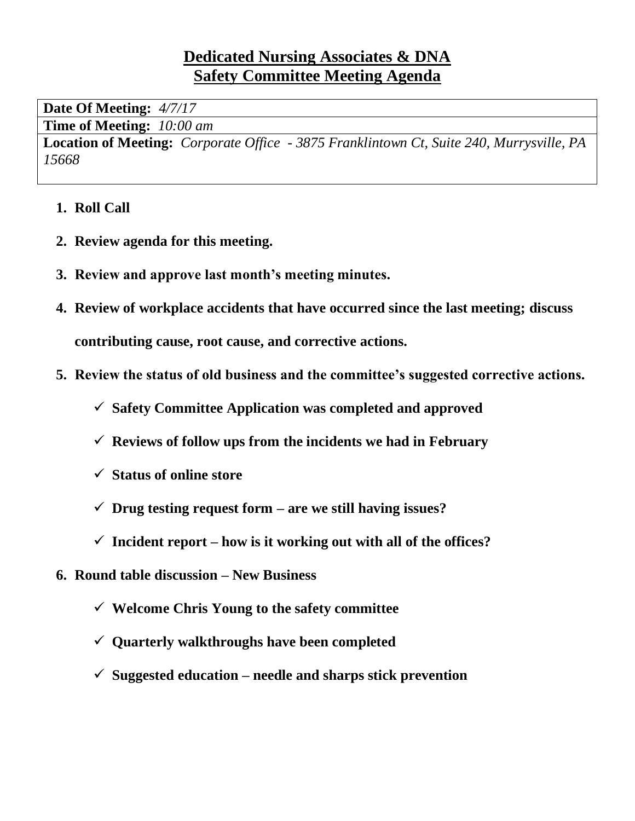# **Dedicated Nursing Associates & DNA Safety Committee Meeting Agenda**

**Date Of Meeting:** *4/7/17*

**Time of Meeting:** *10:00 am*

**Location of Meeting:** *Corporate Office - 3875 Franklintown Ct, Suite 240, Murrysville, PA 15668*

- **1. Roll Call**
- **2. Review agenda for this meeting.**
- **3. Review and approve last month's meeting minutes.**
- **4. Review of workplace accidents that have occurred since the last meeting; discuss contributing cause, root cause, and corrective actions.**
- **5. Review the status of old business and the committee's suggested corrective actions.**
	- ✓ **Safety Committee Application was completed and approved**
	- ✓ **Reviews of follow ups from the incidents we had in February**
	- ✓ **Status of online store**
	- ✓ **Drug testing request form – are we still having issues?**
	- $\checkmark$  Incident report how is it working out with all of the offices?
- **6. Round table discussion – New Business**
	- ✓ **Welcome Chris Young to the safety committee**
	- ✓ **Quarterly walkthroughs have been completed**
	- ✓ **Suggested education – needle and sharps stick prevention**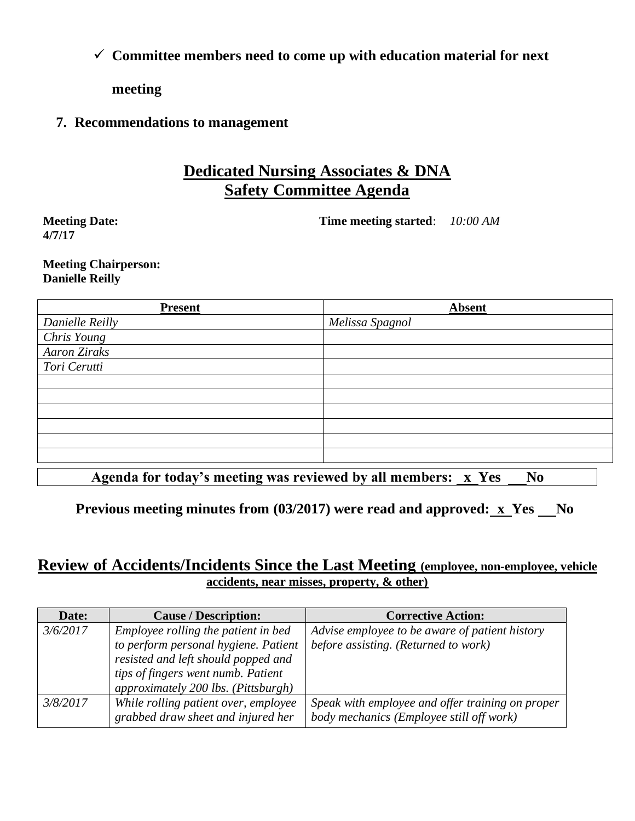✓ **Committee members need to come up with education material for next** 

**meeting**

#### **7. Recommendations to management**

# **Dedicated Nursing Associates & DNA Safety Committee Agenda**

**Meeting Date: 4/7/17**

**Time meeting started**: *10:00 AM*

#### **Meeting Chairperson: Danielle Reilly**

| <b>Present</b>      | <b>Absent</b>   |
|---------------------|-----------------|
| Danielle Reilly     | Melissa Spagnol |
| Chris Young         |                 |
| <b>Aaron Ziraks</b> |                 |
| Tori Cerutti        |                 |
|                     |                 |
|                     |                 |
|                     |                 |
|                     |                 |
|                     |                 |
|                     |                 |
|                     |                 |

Agenda for today's meeting was reviewed by all members: x Yes No

**Previous meeting minutes from (03/2017) were read and approved: x Yes No** 

### **Review of Accidents/Incidents Since the Last Meeting (employee, non-employee, vehicle accidents, near misses, property, & other)**

| Date:    | <b>Cause / Description:</b>                                                                                                                                                                     | <b>Corrective Action:</b>                                                                    |
|----------|-------------------------------------------------------------------------------------------------------------------------------------------------------------------------------------------------|----------------------------------------------------------------------------------------------|
| 3/6/2017 | Employee rolling the patient in bed<br>to perform personal hygiene. Patient<br>resisted and left should popped and<br>tips of fingers went numb. Patient<br>approximately 200 lbs. (Pittsburgh) | Advise employee to be aware of patient history<br>before assisting. (Returned to work)       |
| 3/8/2017 | While rolling patient over, employee<br>grabbed draw sheet and injured her                                                                                                                      | Speak with employee and offer training on proper<br>body mechanics (Employee still off work) |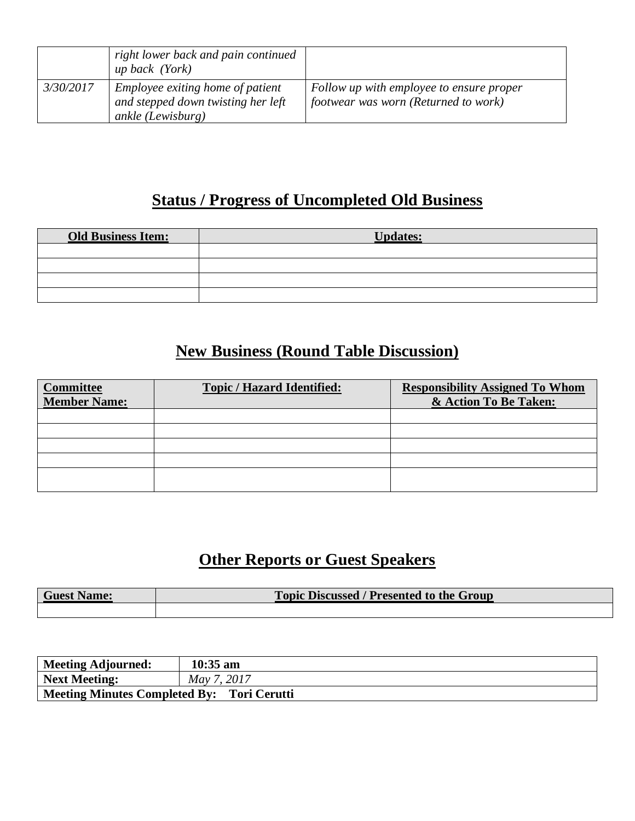|           | right lower back and pain continued<br><i>up back (York)</i>                                |                                                                                  |
|-----------|---------------------------------------------------------------------------------------------|----------------------------------------------------------------------------------|
| 3/30/2017 | Employee exiting home of patient<br>and stepped down twisting her left<br>ankle (Lewisburg) | Follow up with employee to ensure proper<br>footwear was worn (Returned to work) |

# **Status / Progress of Uncompleted Old Business**

| <b>Old Business Item:</b> | <b>Updates:</b> |
|---------------------------|-----------------|
|                           |                 |
|                           |                 |
|                           |                 |
|                           |                 |

# **New Business (Round Table Discussion)**

| <b>Committee</b><br><b>Member Name:</b> | <b>Topic / Hazard Identified:</b> | <b>Responsibility Assigned To Whom</b><br>& Action To Be Taken: |
|-----------------------------------------|-----------------------------------|-----------------------------------------------------------------|
|                                         |                                   |                                                                 |
|                                         |                                   |                                                                 |
|                                         |                                   |                                                                 |
|                                         |                                   |                                                                 |
|                                         |                                   |                                                                 |

# **Other Reports or Guest Speakers**

| <b>Guest Name:</b> | <b>Topic Discussed / Presented to the Group</b> |
|--------------------|-------------------------------------------------|
|                    |                                                 |

| Meeting Adjourned:                                | $10:35$ am  |
|---------------------------------------------------|-------------|
| Next Meeting:                                     | May 7, 2017 |
| <b>Meeting Minutes Completed By: Tori Cerutti</b> |             |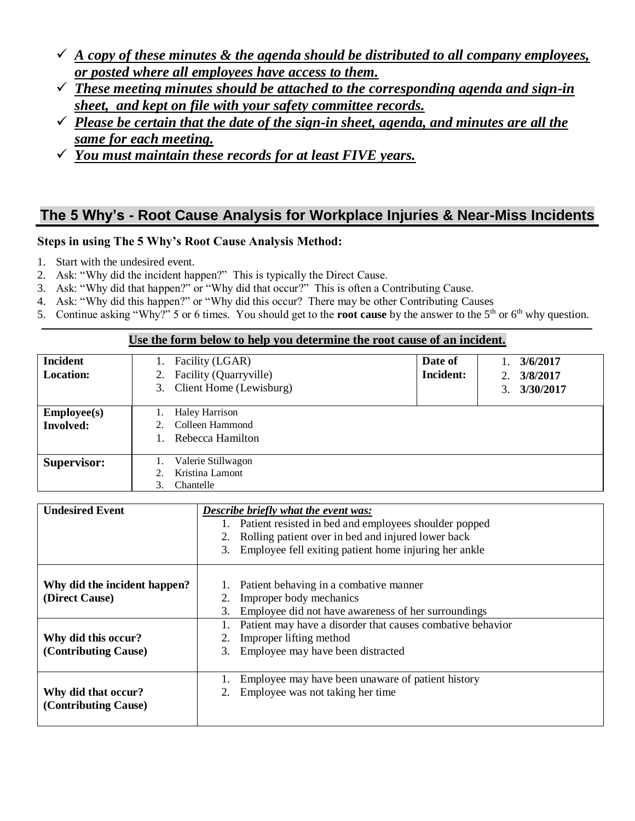- $\checkmark$  *A copy of these minutes & the agenda should be distributed to all company employees, or posted where all employees have access to them.*
- ✓ *These meeting minutes should be attached to the corresponding agenda and sign-in sheet, and kept on file with your safety committee records.*
- ✓ *Please be certain that the date of the sign-in sheet, agenda, and minutes are all the same for each meeting.*
- ✓ *You must maintain these records for at least FIVE years.*

### **The 5 Why's - Root Cause Analysis for Workplace Injuries & Near-Miss Incidents**

#### **Steps in using The 5 Why's Root Cause Analysis Method:**

- 1. Start with the undesired event.
- 2. Ask: "Why did the incident happen?" This is typically the Direct Cause.
- 3. Ask: "Why did that happen?" or "Why did that occur?" This is often a Contributing Cause.
- 4. Ask: "Why did this happen?" or "Why did this occur? There may be other Contributing Causes
- 5. Continue asking "Why?" 5 or 6 times. You should get to the **root cause** by the answer to the 5<sup>th</sup> or  $6<sup>th</sup>$  why question.

#### **Use the form below to help you determine the root cause of an incident.**

| <b>Incident</b><br><b>Location:</b> | Facility (LGAR)<br>Facility (Quarryville)<br>2.<br>3. Client Home (Lewisburg) | Date of<br>Incident: | 3/6/2017<br>3/8/2017<br>2.<br>3/30/2017<br>3. |
|-------------------------------------|-------------------------------------------------------------------------------|----------------------|-----------------------------------------------|
| Emplogee(s)<br><b>Involved:</b>     | <b>Haley Harrison</b><br>Colleen Hammond<br>Rebecca Hamilton                  |                      |                                               |
| <b>Supervisor:</b>                  | Valerie Stillwagon<br>Kristina Lamont<br>Chantelle<br>3.                      |                      |                                               |

| <b>Undesired Event</b>                         | <b>Describe briefly what the event was:</b><br>Patient resisted in bed and employees shoulder popped<br>Rolling patient over in bed and injured lower back<br>Employee fell exiting patient home injuring her ankle<br>3. |
|------------------------------------------------|---------------------------------------------------------------------------------------------------------------------------------------------------------------------------------------------------------------------------|
| Why did the incident happen?<br>(Direct Cause) | Patient behaving in a combative manner<br>Improper body mechanics<br>Employee did not have awareness of her surroundings<br>3.                                                                                            |
| Why did this occur?<br>(Contributing Cause)    | Patient may have a disorder that causes combative behavior<br>Improper lifting method<br>3. Employee may have been distracted                                                                                             |
| Why did that occur?<br>(Contributing Cause)    | Employee may have been unaware of patient history<br>Employee was not taking her time                                                                                                                                     |